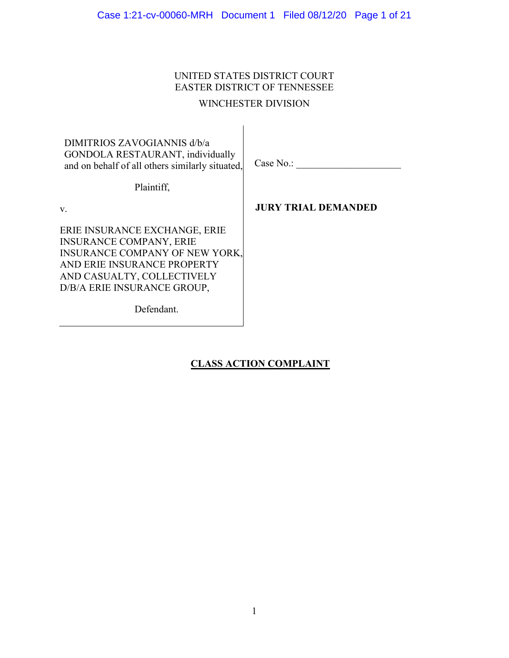# UNITED STATES DISTRICT COURT EASTER DISTRICT OF TENNESSEE

# WINCHESTER DIVISION

DIMITRIOS ZAVOGIANNIS d/b/a GONDOLA RESTAURANT, individually and on behalf of all others similarly situated,

Case No.:

Plaintiff,

v.

**JURY TRIAL DEMANDED**

ERIE INSURANCE EXCHANGE, ERIE INSURANCE COMPANY, ERIE INSURANCE COMPANY OF NEW YORK, AND ERIE INSURANCE PROPERTY AND CASUALTY, COLLECTIVELY D/B/A ERIE INSURANCE GROUP,

Defendant.

**CLASS ACTION COMPLAINT**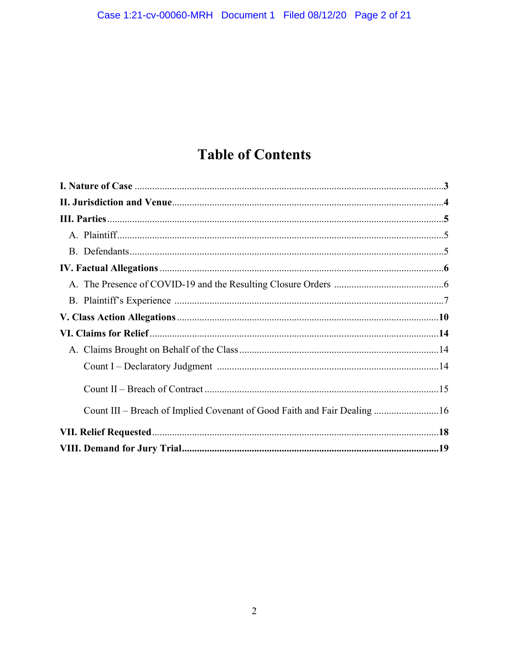# **Table of Contents**

| Count III – Breach of Implied Covenant of Good Faith and Fair Dealing 16 |  |
|--------------------------------------------------------------------------|--|
|                                                                          |  |
|                                                                          |  |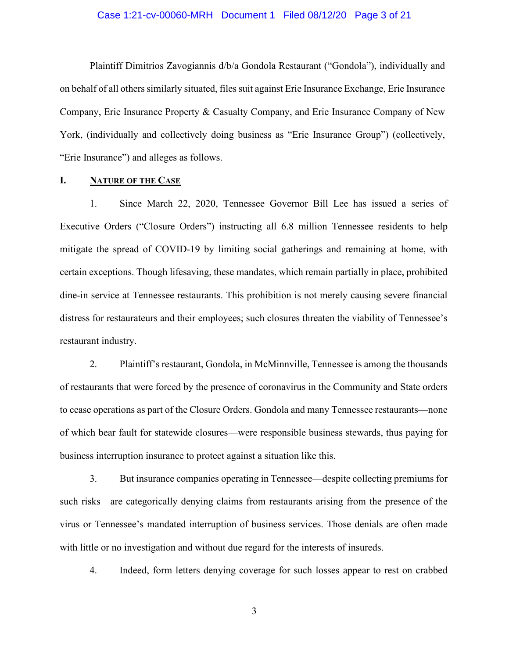#### Case 1:21-cv-00060-MRH Document 1 Filed 08/12/20 Page 3 of 21

Plaintiff Dimitrios Zavogiannis d/b/a Gondola Restaurant ("Gondola"), individually and on behalf of all others similarly situated, files suit against Erie Insurance Exchange, Erie Insurance Company, Erie Insurance Property & Casualty Company, and Erie Insurance Company of New York, (individually and collectively doing business as "Erie Insurance Group") (collectively, "Erie Insurance") and alleges as follows.

## **I. NATURE OF THE CASE**

1. Since March 22, 2020, Tennessee Governor Bill Lee has issued a series of Executive Orders ("Closure Orders") instructing all 6.8 million Tennessee residents to help mitigate the spread of COVID-19 by limiting social gatherings and remaining at home, with certain exceptions. Though lifesaving, these mandates, which remain partially in place, prohibited dine-in service at Tennessee restaurants. This prohibition is not merely causing severe financial distress for restaurateurs and their employees; such closures threaten the viability of Tennessee's restaurant industry.

2. Plaintiff's restaurant, Gondola, in McMinnville, Tennessee is among the thousands of restaurants that were forced by the presence of coronavirus in the Community and State orders to cease operations as part of the Closure Orders. Gondola and many Tennessee restaurants—none of which bear fault for statewide closures—were responsible business stewards, thus paying for business interruption insurance to protect against a situation like this.

3. But insurance companies operating in Tennessee—despite collecting premiums for such risks—are categorically denying claims from restaurants arising from the presence of the virus or Tennessee's mandated interruption of business services. Those denials are often made with little or no investigation and without due regard for the interests of insureds.

4. Indeed, form letters denying coverage for such losses appear to rest on crabbed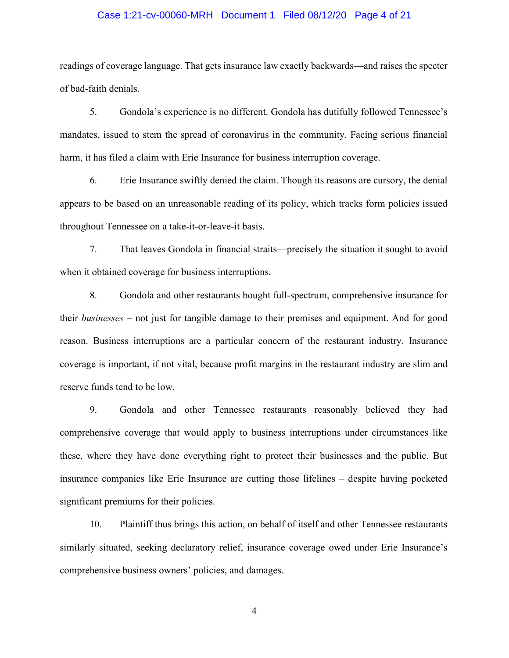#### Case 1:21-cv-00060-MRH Document 1 Filed 08/12/20 Page 4 of 21

readings of coverage language. That gets insurance law exactly backwards—and raises the specter of bad-faith denials.

5. Gondola's experience is no different. Gondola has dutifully followed Tennessee's mandates, issued to stem the spread of coronavirus in the community. Facing serious financial harm, it has filed a claim with Erie Insurance for business interruption coverage.

6. Erie Insurance swiftly denied the claim. Though its reasons are cursory, the denial appears to be based on an unreasonable reading of its policy, which tracks form policies issued throughout Tennessee on a take-it-or-leave-it basis.

7. That leaves Gondola in financial straits—precisely the situation it sought to avoid when it obtained coverage for business interruptions.

8. Gondola and other restaurants bought full-spectrum, comprehensive insurance for their *businesses* – not just for tangible damage to their premises and equipment. And for good reason. Business interruptions are a particular concern of the restaurant industry. Insurance coverage is important, if not vital, because profit margins in the restaurant industry are slim and reserve funds tend to be low.

9. Gondola and other Tennessee restaurants reasonably believed they had comprehensive coverage that would apply to business interruptions under circumstances like these, where they have done everything right to protect their businesses and the public. But insurance companies like Erie Insurance are cutting those lifelines – despite having pocketed significant premiums for their policies.

10. Plaintiff thus brings this action, on behalf of itself and other Tennessee restaurants similarly situated, seeking declaratory relief, insurance coverage owed under Erie Insurance's comprehensive business owners' policies, and damages.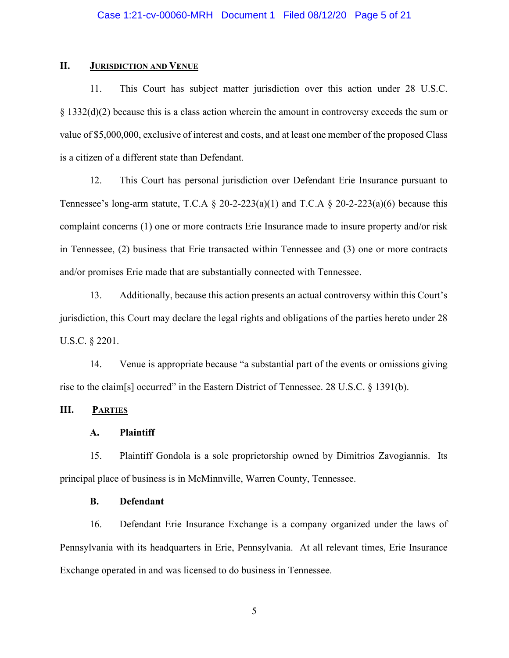# **II. JURISDICTION AND VENUE**

11. This Court has subject matter jurisdiction over this action under 28 U.S.C. § 1332(d)(2) because this is a class action wherein the amount in controversy exceeds the sum or value of \$5,000,000, exclusive of interest and costs, and at least one member of the proposed Class is a citizen of a different state than Defendant.

12. This Court has personal jurisdiction over Defendant Erie Insurance pursuant to Tennessee's long-arm statute, T.C.A  $\S$  20-2-223(a)(1) and T.C.A  $\S$  20-2-223(a)(6) because this complaint concerns (1) one or more contracts Erie Insurance made to insure property and/or risk in Tennessee, (2) business that Erie transacted within Tennessee and (3) one or more contracts and/or promises Erie made that are substantially connected with Tennessee.

13. Additionally, because this action presents an actual controversy within this Court's jurisdiction, this Court may declare the legal rights and obligations of the parties hereto under 28 U.S.C. § 2201.

14. Venue is appropriate because "a substantial part of the events or omissions giving rise to the claim[s] occurred" in the Eastern District of Tennessee. 28 U.S.C. § 1391(b).

# **III. PARTIES**

#### **A. Plaintiff**

15. Plaintiff Gondola is a sole proprietorship owned by Dimitrios Zavogiannis. Its principal place of business is in McMinnville, Warren County, Tennessee.

#### **B. Defendant**

16. Defendant Erie Insurance Exchange is a company organized under the laws of Pennsylvania with its headquarters in Erie, Pennsylvania. At all relevant times, Erie Insurance Exchange operated in and was licensed to do business in Tennessee.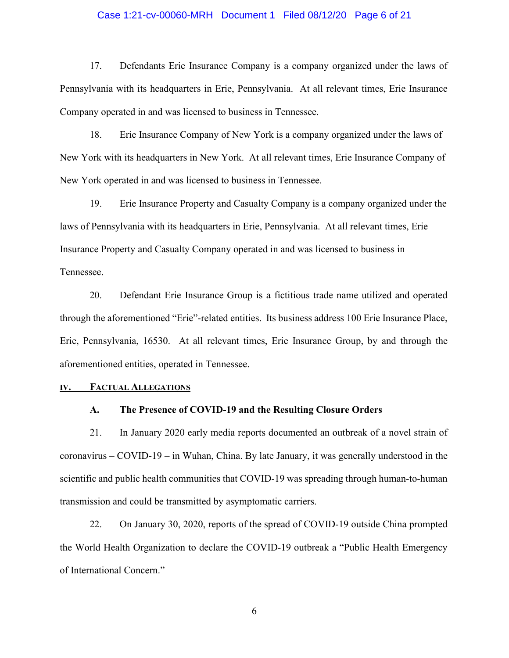#### Case 1:21-cv-00060-MRH Document 1 Filed 08/12/20 Page 6 of 21

17. Defendants Erie Insurance Company is a company organized under the laws of Pennsylvania with its headquarters in Erie, Pennsylvania. At all relevant times, Erie Insurance Company operated in and was licensed to business in Tennessee.

18. Erie Insurance Company of New York is a company organized under the laws of New York with its headquarters in New York. At all relevant times, Erie Insurance Company of New York operated in and was licensed to business in Tennessee.

19. Erie Insurance Property and Casualty Company is a company organized under the laws of Pennsylvania with its headquarters in Erie, Pennsylvania. At all relevant times, Erie Insurance Property and Casualty Company operated in and was licensed to business in Tennessee.

20. Defendant Erie Insurance Group is a fictitious trade name utilized and operated through the aforementioned "Erie"-related entities. Its business address 100 Erie Insurance Place, Erie, Pennsylvania, 16530. At all relevant times, Erie Insurance Group, by and through the aforementioned entities, operated in Tennessee.

### **IV. FACTUAL ALLEGATIONS**

#### **A. The Presence of COVID-19 and the Resulting Closure Orders**

21. In January 2020 early media reports documented an outbreak of a novel strain of coronavirus – COVID-19 – in Wuhan, China. By late January, it was generally understood in the scientific and public health communities that COVID-19 was spreading through human-to-human transmission and could be transmitted by asymptomatic carriers.

22. On January 30, 2020, reports of the spread of COVID-19 outside China prompted the World Health Organization to declare the COVID-19 outbreak a "Public Health Emergency of International Concern."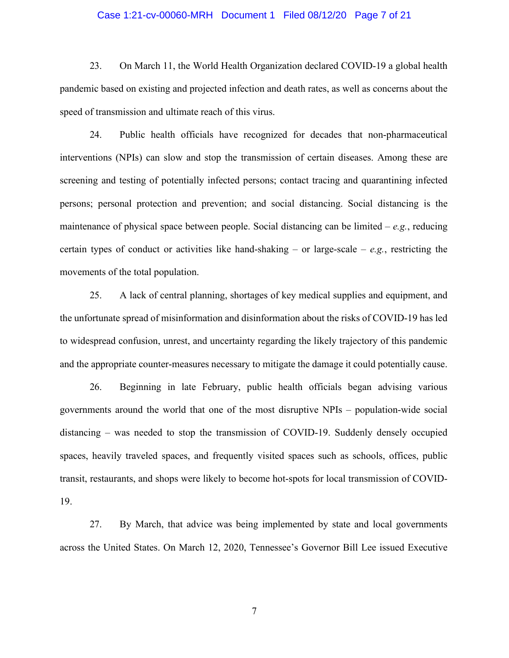#### Case 1:21-cv-00060-MRH Document 1 Filed 08/12/20 Page 7 of 21

23. On March 11, the World Health Organization declared COVID-19 a global health pandemic based on existing and projected infection and death rates, as well as concerns about the speed of transmission and ultimate reach of this virus.

24. Public health officials have recognized for decades that non-pharmaceutical interventions (NPIs) can slow and stop the transmission of certain diseases. Among these are screening and testing of potentially infected persons; contact tracing and quarantining infected persons; personal protection and prevention; and social distancing. Social distancing is the maintenance of physical space between people. Social distancing can be limited – *e.g.*, reducing certain types of conduct or activities like hand-shaking – or large-scale – *e.g.*, restricting the movements of the total population.

25. A lack of central planning, shortages of key medical supplies and equipment, and the unfortunate spread of misinformation and disinformation about the risks of COVID-19 has led to widespread confusion, unrest, and uncertainty regarding the likely trajectory of this pandemic and the appropriate counter-measures necessary to mitigate the damage it could potentially cause.

26. Beginning in late February, public health officials began advising various governments around the world that one of the most disruptive NPIs – population-wide social distancing – was needed to stop the transmission of COVID-19. Suddenly densely occupied spaces, heavily traveled spaces, and frequently visited spaces such as schools, offices, public transit, restaurants, and shops were likely to become hot-spots for local transmission of COVID-19.

27. By March, that advice was being implemented by state and local governments across the United States. On March 12, 2020, Tennessee's Governor Bill Lee issued Executive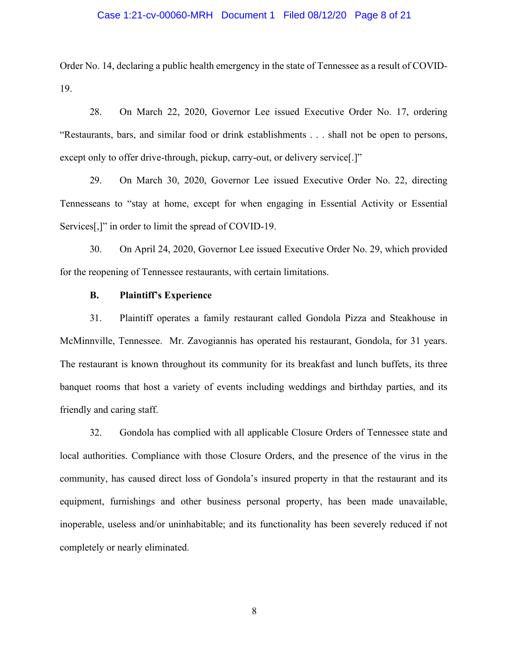#### Case 1:21-cv-00060-MRH Document 1 Filed 08/12/20 Page 8 of 21

Order No. 14, declaring a public health emergency in the state of Tennessee as a result of COVID-19.

28. On March 22, 2020, Governor Lee issued Executive Order No. 17, ordering "Restaurants, bars, and similar food or drink establishments . . . shall not be open to persons, except only to offer drive-through, pickup, carry-out, or delivery service..."

29. On March 30, 2020, Governor Lee issued Executive Order No. 22, directing Tennesseans to "stay at home, except for when engaging in Essential Activity or Essential Services<sup>[1]</sup>" in order to limit the spread of COVID-19.

30. On April 24, 2020, Governor Lee issued Executive Order No. 29, which provided for the reopening of Tennessee restaurants, with certain limitations.

#### **B. Plaintiff's Experience**

31. Plaintiff operates a family restaurant called Gondola Pizza and Steakhouse in McMinnville, Tennessee. Mr. Zavogiannis has operated his restaurant, Gondola, for 31 years. The restaurant is known throughout its community for its breakfast and lunch buffets, its three banquet rooms that host a variety of events including weddings and birthday parties, and its friendly and caring staff.

32. Gondola has complied with all applicable Closure Orders of Tennessee state and local authorities. Compliance with those Closure Orders, and the presence of the virus in the community, has caused direct loss of Gondola's insured property in that the restaurant and its equipment, furnishings and other business personal property, has been made unavailable, inoperable, useless and/or uninhabitable; and its functionality has been severely reduced if not completely or nearly eliminated.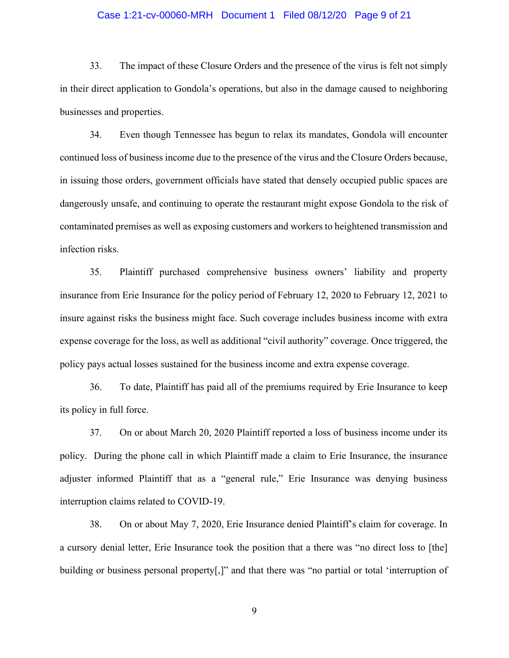#### Case 1:21-cv-00060-MRH Document 1 Filed 08/12/20 Page 9 of 21

33. The impact of these Closure Orders and the presence of the virus is felt not simply in their direct application to Gondola's operations, but also in the damage caused to neighboring businesses and properties.

34. Even though Tennessee has begun to relax its mandates, Gondola will encounter continued loss of business income due to the presence of the virus and the Closure Orders because, in issuing those orders, government officials have stated that densely occupied public spaces are dangerously unsafe, and continuing to operate the restaurant might expose Gondola to the risk of contaminated premises as well as exposing customers and workers to heightened transmission and infection risks.

35. Plaintiff purchased comprehensive business owners' liability and property insurance from Erie Insurance for the policy period of February 12, 2020 to February 12, 2021 to insure against risks the business might face. Such coverage includes business income with extra expense coverage for the loss, as well as additional "civil authority" coverage. Once triggered, the policy pays actual losses sustained for the business income and extra expense coverage.

36. To date, Plaintiff has paid all of the premiums required by Erie Insurance to keep its policy in full force.

37. On or about March 20, 2020 Plaintiff reported a loss of business income under its policy. During the phone call in which Plaintiff made a claim to Erie Insurance, the insurance adjuster informed Plaintiff that as a "general rule," Erie Insurance was denying business interruption claims related to COVID-19.

38. On or about May 7, 2020, Erie Insurance denied Plaintiff's claim for coverage. In a cursory denial letter, Erie Insurance took the position that a there was "no direct loss to [the] building or business personal property<sup>[1]</sup>, and that there was "no partial or total 'interruption of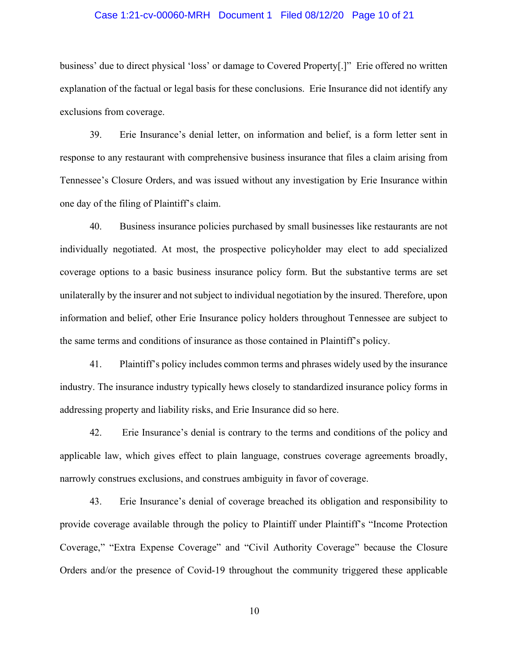#### Case 1:21-cv-00060-MRH Document 1 Filed 08/12/20 Page 10 of 21

business' due to direct physical 'loss' or damage to Covered Property[.]" Erie offered no written explanation of the factual or legal basis for these conclusions. Erie Insurance did not identify any exclusions from coverage.

39. Erie Insurance's denial letter, on information and belief, is a form letter sent in response to any restaurant with comprehensive business insurance that files a claim arising from Tennessee's Closure Orders, and was issued without any investigation by Erie Insurance within one day of the filing of Plaintiff's claim.

40. Business insurance policies purchased by small businesses like restaurants are not individually negotiated. At most, the prospective policyholder may elect to add specialized coverage options to a basic business insurance policy form. But the substantive terms are set unilaterally by the insurer and not subject to individual negotiation by the insured. Therefore, upon information and belief, other Erie Insurance policy holders throughout Tennessee are subject to the same terms and conditions of insurance as those contained in Plaintiff's policy.

41. Plaintiff's policy includes common terms and phrases widely used by the insurance industry. The insurance industry typically hews closely to standardized insurance policy forms in addressing property and liability risks, and Erie Insurance did so here.

42. Erie Insurance's denial is contrary to the terms and conditions of the policy and applicable law, which gives effect to plain language, construes coverage agreements broadly, narrowly construes exclusions, and construes ambiguity in favor of coverage.

43. Erie Insurance's denial of coverage breached its obligation and responsibility to provide coverage available through the policy to Plaintiff under Plaintiff's "Income Protection Coverage," "Extra Expense Coverage" and "Civil Authority Coverage" because the Closure Orders and/or the presence of Covid-19 throughout the community triggered these applicable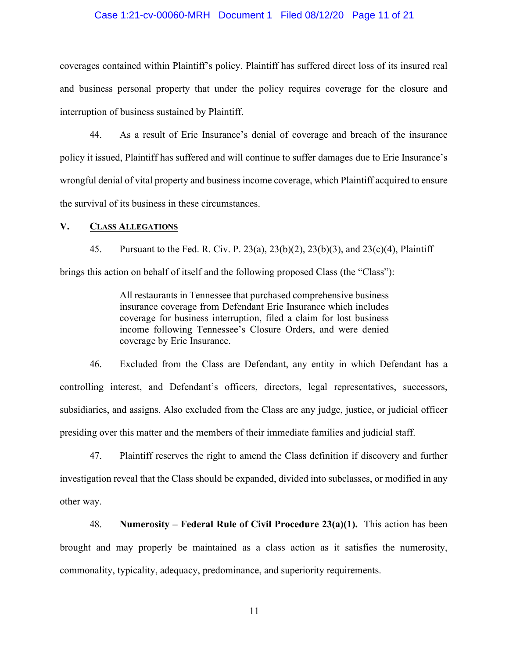#### Case 1:21-cv-00060-MRH Document 1 Filed 08/12/20 Page 11 of 21

coverages contained within Plaintiff's policy. Plaintiff has suffered direct loss of its insured real and business personal property that under the policy requires coverage for the closure and interruption of business sustained by Plaintiff.

44. As a result of Erie Insurance's denial of coverage and breach of the insurance policy it issued, Plaintiff has suffered and will continue to suffer damages due to Erie Insurance's wrongful denial of vital property and business income coverage, which Plaintiff acquired to ensure the survival of its business in these circumstances.

### **V. CLASS ALLEGATIONS**

45. Pursuant to the Fed. R. Civ. P. 23(a), 23(b)(2), 23(b)(3), and 23(c)(4), Plaintiff brings this action on behalf of itself and the following proposed Class (the "Class"):

> All restaurants in Tennessee that purchased comprehensive business insurance coverage from Defendant Erie Insurance which includes coverage for business interruption, filed a claim for lost business income following Tennessee's Closure Orders, and were denied coverage by Erie Insurance.

46. Excluded from the Class are Defendant, any entity in which Defendant has a controlling interest, and Defendant's officers, directors, legal representatives, successors, subsidiaries, and assigns. Also excluded from the Class are any judge, justice, or judicial officer presiding over this matter and the members of their immediate families and judicial staff.

47. Plaintiff reserves the right to amend the Class definition if discovery and further investigation reveal that the Class should be expanded, divided into subclasses, or modified in any other way.

48. **Numerosity – Federal Rule of Civil Procedure 23(a)(1).** This action has been brought and may properly be maintained as a class action as it satisfies the numerosity, commonality, typicality, adequacy, predominance, and superiority requirements.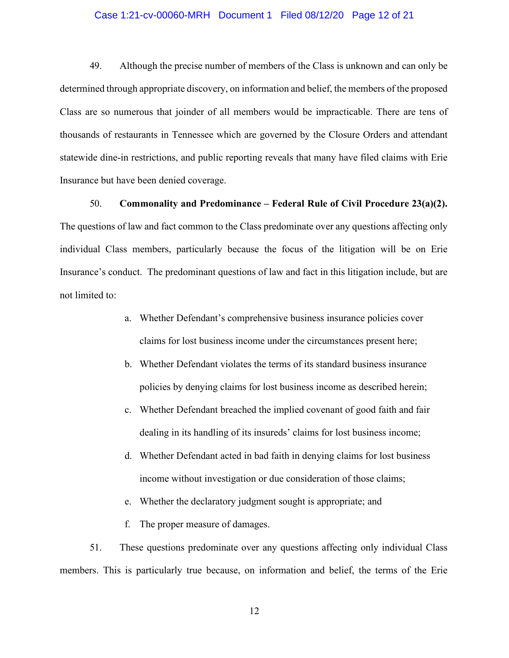#### Case 1:21-cv-00060-MRH Document 1 Filed 08/12/20 Page 12 of 21

49. Although the precise number of members of the Class is unknown and can only be determined through appropriate discovery, on information and belief, the members of the proposed Class are so numerous that joinder of all members would be impracticable. There are tens of thousands of restaurants in Tennessee which are governed by the Closure Orders and attendant statewide dine-in restrictions, and public reporting reveals that many have filed claims with Erie Insurance but have been denied coverage.

50. **Commonality and Predominance – Federal Rule of Civil Procedure 23(a)(2).** The questions of law and fact common to the Class predominate over any questions affecting only individual Class members, particularly because the focus of the litigation will be on Erie Insurance's conduct. The predominant questions of law and fact in this litigation include, but are not limited to:

- a. Whether Defendant's comprehensive business insurance policies cover claims for lost business income under the circumstances present here;
- b. Whether Defendant violates the terms of its standard business insurance policies by denying claims for lost business income as described herein;
- c. Whether Defendant breached the implied covenant of good faith and fair dealing in its handling of its insureds' claims for lost business income;
- d. Whether Defendant acted in bad faith in denying claims for lost business income without investigation or due consideration of those claims;
- e. Whether the declaratory judgment sought is appropriate; and

f. The proper measure of damages.

51. These questions predominate over any questions affecting only individual Class members. This is particularly true because, on information and belief, the terms of the Erie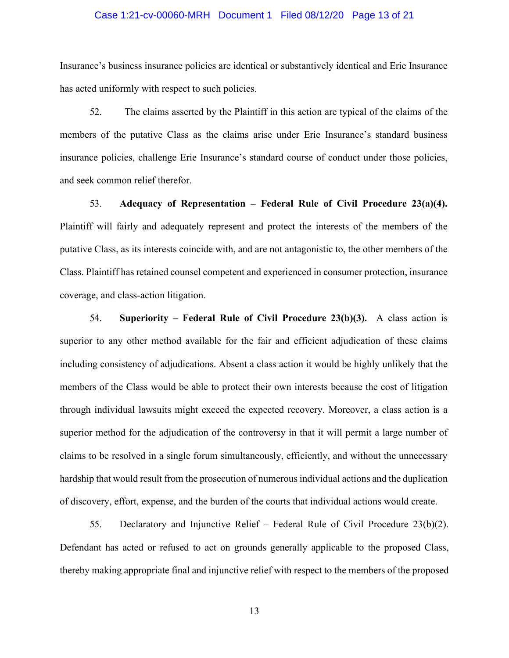#### Case 1:21-cv-00060-MRH Document 1 Filed 08/12/20 Page 13 of 21

Insurance's business insurance policies are identical or substantively identical and Erie Insurance has acted uniformly with respect to such policies.

52. The claims asserted by the Plaintiff in this action are typical of the claims of the members of the putative Class as the claims arise under Erie Insurance's standard business insurance policies, challenge Erie Insurance's standard course of conduct under those policies, and seek common relief therefor.

53. **Adequacy of Representation – Federal Rule of Civil Procedure 23(a)(4).** Plaintiff will fairly and adequately represent and protect the interests of the members of the putative Class, as its interests coincide with, and are not antagonistic to, the other members of the Class. Plaintiff has retained counsel competent and experienced in consumer protection, insurance coverage, and class-action litigation.

54. **Superiority – Federal Rule of Civil Procedure 23(b)(3).** A class action is superior to any other method available for the fair and efficient adjudication of these claims including consistency of adjudications. Absent a class action it would be highly unlikely that the members of the Class would be able to protect their own interests because the cost of litigation through individual lawsuits might exceed the expected recovery. Moreover, a class action is a superior method for the adjudication of the controversy in that it will permit a large number of claims to be resolved in a single forum simultaneously, efficiently, and without the unnecessary hardship that would result from the prosecution of numerous individual actions and the duplication of discovery, effort, expense, and the burden of the courts that individual actions would create.

55. Declaratory and Injunctive Relief – Federal Rule of Civil Procedure 23(b)(2). Defendant has acted or refused to act on grounds generally applicable to the proposed Class, thereby making appropriate final and injunctive relief with respect to the members of the proposed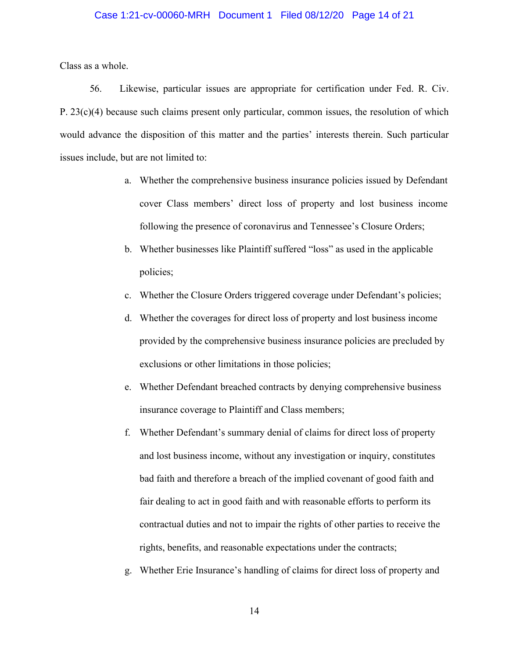#### Case 1:21-cv-00060-MRH Document 1 Filed 08/12/20 Page 14 of 21

Class as a whole.

56. Likewise, particular issues are appropriate for certification under Fed. R. Civ. P. 23(c)(4) because such claims present only particular, common issues, the resolution of which would advance the disposition of this matter and the parties' interests therein. Such particular issues include, but are not limited to:

- a. Whether the comprehensive business insurance policies issued by Defendant cover Class members' direct loss of property and lost business income following the presence of coronavirus and Tennessee's Closure Orders;
- b. Whether businesses like Plaintiff suffered "loss" as used in the applicable policies;
- c. Whether the Closure Orders triggered coverage under Defendant's policies;
- d. Whether the coverages for direct loss of property and lost business income provided by the comprehensive business insurance policies are precluded by exclusions or other limitations in those policies;
- e. Whether Defendant breached contracts by denying comprehensive business insurance coverage to Plaintiff and Class members;
- f. Whether Defendant's summary denial of claims for direct loss of property and lost business income, without any investigation or inquiry, constitutes bad faith and therefore a breach of the implied covenant of good faith and fair dealing to act in good faith and with reasonable efforts to perform its contractual duties and not to impair the rights of other parties to receive the rights, benefits, and reasonable expectations under the contracts;
- g. Whether Erie Insurance's handling of claims for direct loss of property and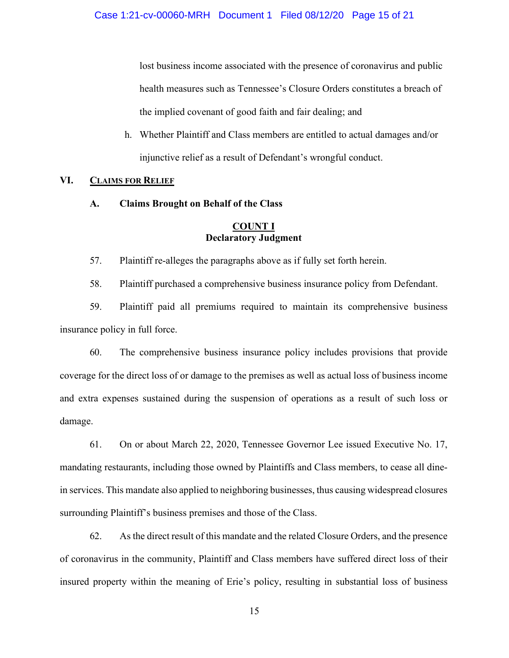lost business income associated with the presence of coronavirus and public health measures such as Tennessee's Closure Orders constitutes a breach of the implied covenant of good faith and fair dealing; and

h. Whether Plaintiff and Class members are entitled to actual damages and/or injunctive relief as a result of Defendant's wrongful conduct.

# **VI. CLAIMS FOR RELIEF**

**A. Claims Brought on Behalf of the Class**

# **COUNT I Declaratory Judgment**

57. Plaintiff re-alleges the paragraphs above as if fully set forth herein.

58. Plaintiff purchased a comprehensive business insurance policy from Defendant.

59. Plaintiff paid all premiums required to maintain its comprehensive business insurance policy in full force.

60. The comprehensive business insurance policy includes provisions that provide coverage for the direct loss of or damage to the premises as well as actual loss of business income and extra expenses sustained during the suspension of operations as a result of such loss or damage.

61. On or about March 22, 2020, Tennessee Governor Lee issued Executive No. 17, mandating restaurants, including those owned by Plaintiffs and Class members, to cease all dinein services. This mandate also applied to neighboring businesses, thus causing widespread closures surrounding Plaintiff's business premises and those of the Class.

62. As the direct result of this mandate and the related Closure Orders, and the presence of coronavirus in the community, Plaintiff and Class members have suffered direct loss of their insured property within the meaning of Erie's policy, resulting in substantial loss of business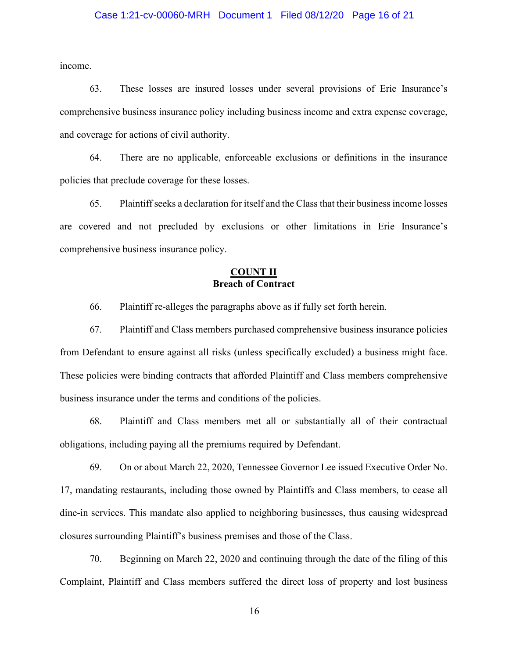#### Case 1:21-cv-00060-MRH Document 1 Filed 08/12/20 Page 16 of 21

income.

63. These losses are insured losses under several provisions of Erie Insurance's comprehensive business insurance policy including business income and extra expense coverage, and coverage for actions of civil authority.

64. There are no applicable, enforceable exclusions or definitions in the insurance policies that preclude coverage for these losses.

65. Plaintiff seeks a declaration for itself and the Class that their business income losses are covered and not precluded by exclusions or other limitations in Erie Insurance's comprehensive business insurance policy.

## **COUNT II Breach of Contract**

66. Plaintiff re-alleges the paragraphs above as if fully set forth herein.

67. Plaintiff and Class members purchased comprehensive business insurance policies from Defendant to ensure against all risks (unless specifically excluded) a business might face. These policies were binding contracts that afforded Plaintiff and Class members comprehensive business insurance under the terms and conditions of the policies.

68. Plaintiff and Class members met all or substantially all of their contractual obligations, including paying all the premiums required by Defendant.

69. On or about March 22, 2020, Tennessee Governor Lee issued Executive Order No. 17, mandating restaurants, including those owned by Plaintiffs and Class members, to cease all dine-in services. This mandate also applied to neighboring businesses, thus causing widespread closures surrounding Plaintiff's business premises and those of the Class.

70. Beginning on March 22, 2020 and continuing through the date of the filing of this Complaint, Plaintiff and Class members suffered the direct loss of property and lost business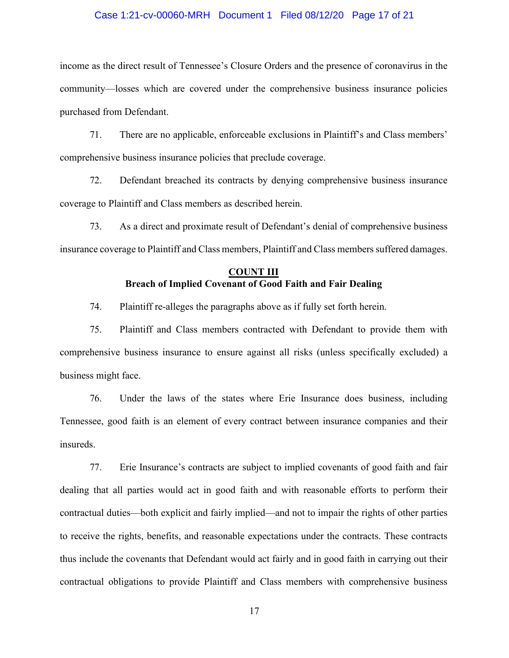#### Case 1:21-cv-00060-MRH Document 1 Filed 08/12/20 Page 17 of 21

income as the direct result of Tennessee's Closure Orders and the presence of coronavirus in the community—losses which are covered under the comprehensive business insurance policies purchased from Defendant.

71. There are no applicable, enforceable exclusions in Plaintiff's and Class members' comprehensive business insurance policies that preclude coverage.

72. Defendant breached its contracts by denying comprehensive business insurance coverage to Plaintiff and Class members as described herein.

73. As a direct and proximate result of Defendant's denial of comprehensive business insurance coverage to Plaintiff and Class members, Plaintiff and Class members suffered damages.

# **COUNT III Breach of Implied Covenant of Good Faith and Fair Dealing**

74. Plaintiff re-alleges the paragraphs above as if fully set forth herein.

75. Plaintiff and Class members contracted with Defendant to provide them with comprehensive business insurance to ensure against all risks (unless specifically excluded) a business might face.

76. Under the laws of the states where Erie Insurance does business, including Tennessee, good faith is an element of every contract between insurance companies and their insureds.

77. Erie Insurance's contracts are subject to implied covenants of good faith and fair dealing that all parties would act in good faith and with reasonable efforts to perform their contractual duties—both explicit and fairly implied—and not to impair the rights of other parties to receive the rights, benefits, and reasonable expectations under the contracts. These contracts thus include the covenants that Defendant would act fairly and in good faith in carrying out their contractual obligations to provide Plaintiff and Class members with comprehensive business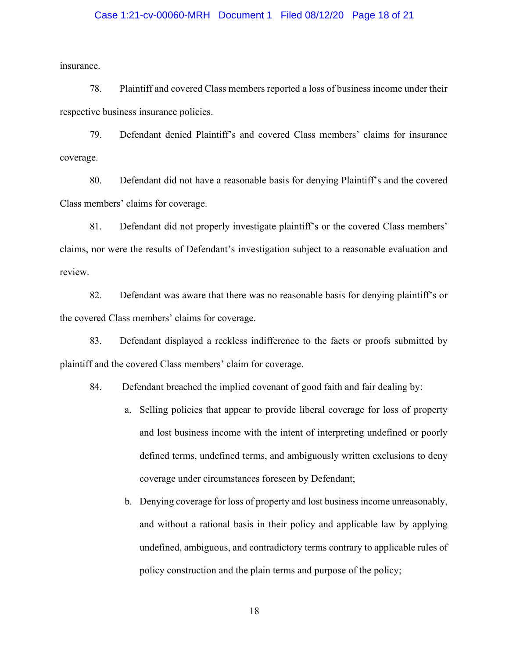#### Case 1:21-cv-00060-MRH Document 1 Filed 08/12/20 Page 18 of 21

insurance.

78. Plaintiff and covered Class members reported a loss of business income under their respective business insurance policies.

79. Defendant denied Plaintiff's and covered Class members' claims for insurance coverage.

80. Defendant did not have a reasonable basis for denying Plaintiff's and the covered Class members' claims for coverage.

81. Defendant did not properly investigate plaintiff's or the covered Class members' claims, nor were the results of Defendant's investigation subject to a reasonable evaluation and review.

82. Defendant was aware that there was no reasonable basis for denying plaintiff's or the covered Class members' claims for coverage.

83. Defendant displayed a reckless indifference to the facts or proofs submitted by plaintiff and the covered Class members' claim for coverage.

84. Defendant breached the implied covenant of good faith and fair dealing by:

- a. Selling policies that appear to provide liberal coverage for loss of property and lost business income with the intent of interpreting undefined or poorly defined terms, undefined terms, and ambiguously written exclusions to deny coverage under circumstances foreseen by Defendant;
- b. Denying coverage for loss of property and lost business income unreasonably, and without a rational basis in their policy and applicable law by applying undefined, ambiguous, and contradictory terms contrary to applicable rules of policy construction and the plain terms and purpose of the policy;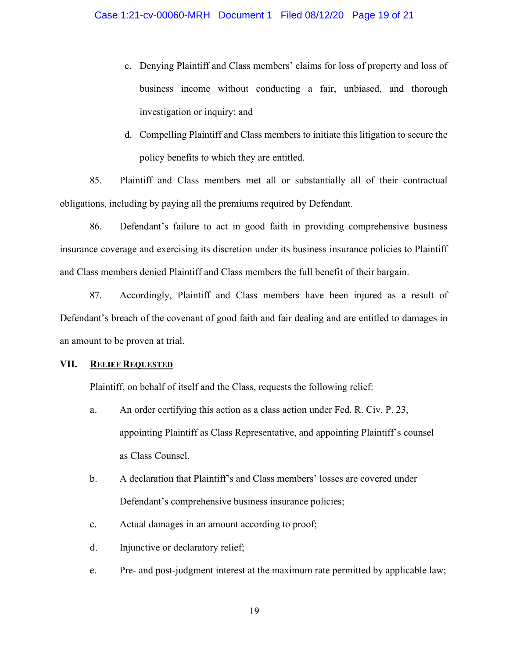- c. Denying Plaintiff and Class members' claims for loss of property and loss of business income without conducting a fair, unbiased, and thorough investigation or inquiry; and
- d. Compelling Plaintiff and Class members to initiate this litigation to secure the policy benefits to which they are entitled.

85. Plaintiff and Class members met all or substantially all of their contractual obligations, including by paying all the premiums required by Defendant.

86. Defendant's failure to act in good faith in providing comprehensive business insurance coverage and exercising its discretion under its business insurance policies to Plaintiff and Class members denied Plaintiff and Class members the full benefit of their bargain.

87. Accordingly, Plaintiff and Class members have been injured as a result of Defendant's breach of the covenant of good faith and fair dealing and are entitled to damages in an amount to be proven at trial.

## **VII. RELIEF REQUESTED**

Plaintiff, on behalf of itself and the Class, requests the following relief:

- a. An order certifying this action as a class action under Fed. R. Civ. P. 23, appointing Plaintiff as Class Representative, and appointing Plaintiff's counsel as Class Counsel.
- b. A declaration that Plaintiff's and Class members' losses are covered under Defendant's comprehensive business insurance policies;
- c. Actual damages in an amount according to proof;
- d. Injunctive or declaratory relief;
- e. Pre- and post-judgment interest at the maximum rate permitted by applicable law;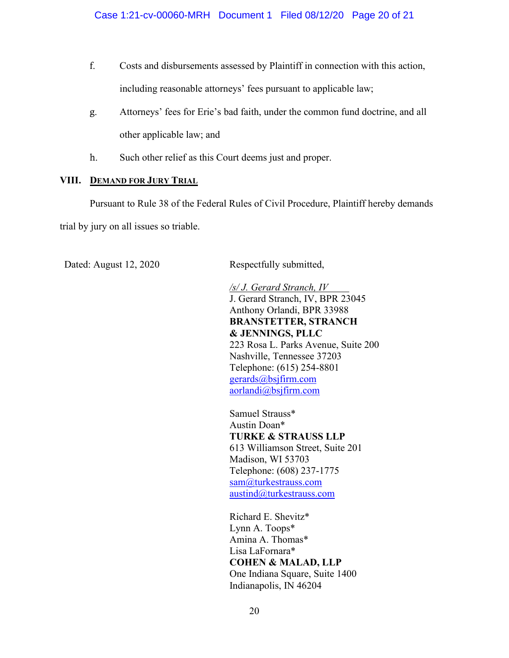- f. Costs and disbursements assessed by Plaintiff in connection with this action, including reasonable attorneys' fees pursuant to applicable law;
- g. Attorneys' fees for Erie's bad faith, under the common fund doctrine, and all other applicable law; and
- h. Such other relief as this Court deems just and proper.

# **VIII. DEMAND FOR JURY TRIAL**

Pursuant to Rule 38 of the Federal Rules of Civil Procedure, Plaintiff hereby demands trial by jury on all issues so triable.

Dated: August 12, 2020 Respectfully submitted,

*/s/ J. Gerard Stranch, IV* J. Gerard Stranch, IV, BPR 23045 Anthony Orlandi, BPR 33988 **BRANSTETTER, STRANCH & JENNINGS, PLLC** 223 Rosa L. Parks Avenue, Suite 200 Nashville, Tennessee 37203 Telephone: (615) 254-8801 [gerards@bsjfirm.com](mailto:gerards@bsjfirm.com) aorlandi@bsjfirm.com

Samuel Strauss\* Austin Doan\* **TURKE & STRAUSS LLP** 613 Williamson Street, Suite 201 Madison, WI 53703 Telephone: (608) 237-1775 [sam@turkestrauss.com](mailto:sam@turkestrauss.com) [austind@turkestrauss.com](mailto:austind@turkestrauss.com)

Richard E. Shevitz\* Lynn A. Toops\* Amina A. Thomas\* Lisa LaFornara\* **COHEN & MALAD, LLP** One Indiana Square, Suite 1400 Indianapolis, IN 46204